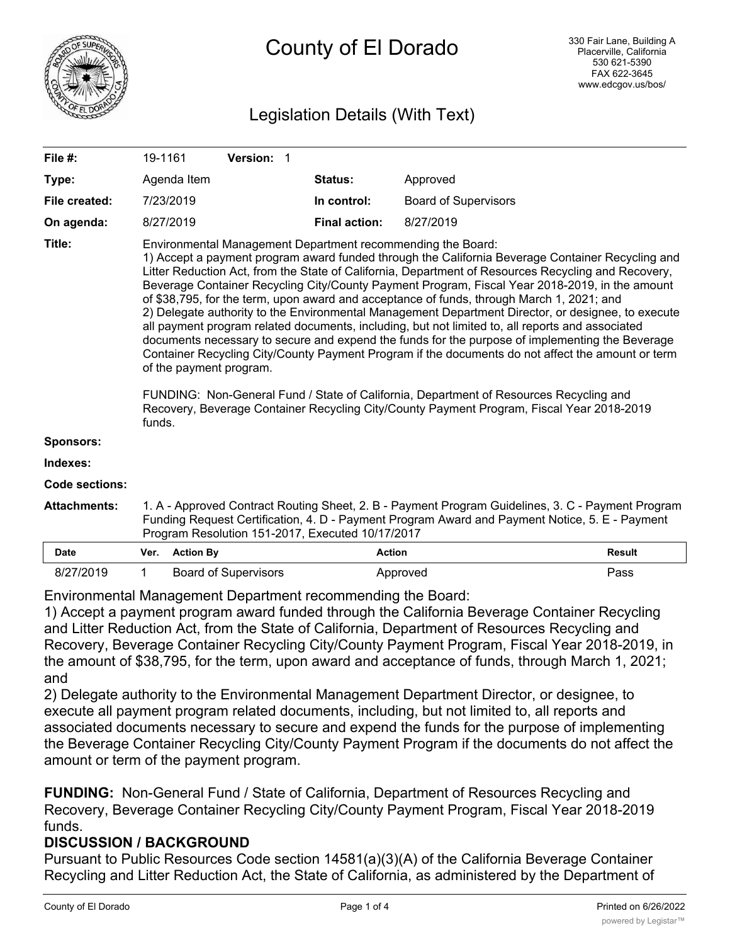

# Legislation Details (With Text)

| File $#$ :          | 19-1161                                                                                                                                                                                                                                                                                                                                                                                                                                                                                                                                                                                                                                                                                                                                                                                                                                                                                                                                                                                                                                                                                                             |                  |  | Version: 1                  |  |                      |                             |               |
|---------------------|---------------------------------------------------------------------------------------------------------------------------------------------------------------------------------------------------------------------------------------------------------------------------------------------------------------------------------------------------------------------------------------------------------------------------------------------------------------------------------------------------------------------------------------------------------------------------------------------------------------------------------------------------------------------------------------------------------------------------------------------------------------------------------------------------------------------------------------------------------------------------------------------------------------------------------------------------------------------------------------------------------------------------------------------------------------------------------------------------------------------|------------------|--|-----------------------------|--|----------------------|-----------------------------|---------------|
| Type:               |                                                                                                                                                                                                                                                                                                                                                                                                                                                                                                                                                                                                                                                                                                                                                                                                                                                                                                                                                                                                                                                                                                                     | Agenda Item      |  |                             |  | Status:              | Approved                    |               |
| File created:       | 7/23/2019                                                                                                                                                                                                                                                                                                                                                                                                                                                                                                                                                                                                                                                                                                                                                                                                                                                                                                                                                                                                                                                                                                           |                  |  |                             |  | In control:          | <b>Board of Supervisors</b> |               |
| On agenda:          | 8/27/2019                                                                                                                                                                                                                                                                                                                                                                                                                                                                                                                                                                                                                                                                                                                                                                                                                                                                                                                                                                                                                                                                                                           |                  |  |                             |  | <b>Final action:</b> | 8/27/2019                   |               |
| Title:              | Environmental Management Department recommending the Board:<br>1) Accept a payment program award funded through the California Beverage Container Recycling and<br>Litter Reduction Act, from the State of California, Department of Resources Recycling and Recovery,<br>Beverage Container Recycling City/County Payment Program, Fiscal Year 2018-2019, in the amount<br>of \$38,795, for the term, upon award and acceptance of funds, through March 1, 2021; and<br>2) Delegate authority to the Environmental Management Department Director, or designee, to execute<br>all payment program related documents, including, but not limited to, all reports and associated<br>documents necessary to secure and expend the funds for the purpose of implementing the Beverage<br>Container Recycling City/County Payment Program if the documents do not affect the amount or term<br>of the payment program.<br>FUNDING: Non-General Fund / State of California, Department of Resources Recycling and<br>Recovery, Beverage Container Recycling City/County Payment Program, Fiscal Year 2018-2019<br>funds. |                  |  |                             |  |                      |                             |               |
| <b>Sponsors:</b>    |                                                                                                                                                                                                                                                                                                                                                                                                                                                                                                                                                                                                                                                                                                                                                                                                                                                                                                                                                                                                                                                                                                                     |                  |  |                             |  |                      |                             |               |
| Indexes:            |                                                                                                                                                                                                                                                                                                                                                                                                                                                                                                                                                                                                                                                                                                                                                                                                                                                                                                                                                                                                                                                                                                                     |                  |  |                             |  |                      |                             |               |
| Code sections:      |                                                                                                                                                                                                                                                                                                                                                                                                                                                                                                                                                                                                                                                                                                                                                                                                                                                                                                                                                                                                                                                                                                                     |                  |  |                             |  |                      |                             |               |
| <b>Attachments:</b> | 1. A - Approved Contract Routing Sheet, 2. B - Payment Program Guidelines, 3. C - Payment Program<br>Funding Request Certification, 4. D - Payment Program Award and Payment Notice, 5. E - Payment<br>Program Resolution 151-2017, Executed 10/17/2017                                                                                                                                                                                                                                                                                                                                                                                                                                                                                                                                                                                                                                                                                                                                                                                                                                                             |                  |  |                             |  |                      |                             |               |
| <b>Date</b>         | Ver.                                                                                                                                                                                                                                                                                                                                                                                                                                                                                                                                                                                                                                                                                                                                                                                                                                                                                                                                                                                                                                                                                                                | <b>Action By</b> |  |                             |  |                      | <b>Action</b>               | <b>Result</b> |
| 8/27/2019           | 1                                                                                                                                                                                                                                                                                                                                                                                                                                                                                                                                                                                                                                                                                                                                                                                                                                                                                                                                                                                                                                                                                                                   |                  |  | <b>Board of Supervisors</b> |  |                      | Approved                    | Pass          |

Environmental Management Department recommending the Board:

1) Accept a payment program award funded through the California Beverage Container Recycling and Litter Reduction Act, from the State of California, Department of Resources Recycling and Recovery, Beverage Container Recycling City/County Payment Program, Fiscal Year 2018-2019, in the amount of \$38,795, for the term, upon award and acceptance of funds, through March 1, 2021; and

2) Delegate authority to the Environmental Management Department Director, or designee, to execute all payment program related documents, including, but not limited to, all reports and associated documents necessary to secure and expend the funds for the purpose of implementing the Beverage Container Recycling City/County Payment Program if the documents do not affect the amount or term of the payment program.

**FUNDING:** Non-General Fund / State of California, Department of Resources Recycling and Recovery, Beverage Container Recycling City/County Payment Program, Fiscal Year 2018-2019 funds.

## **DISCUSSION / BACKGROUND**

Pursuant to Public Resources Code section 14581(a)(3)(A) of the California Beverage Container Recycling and Litter Reduction Act, the State of California, as administered by the Department of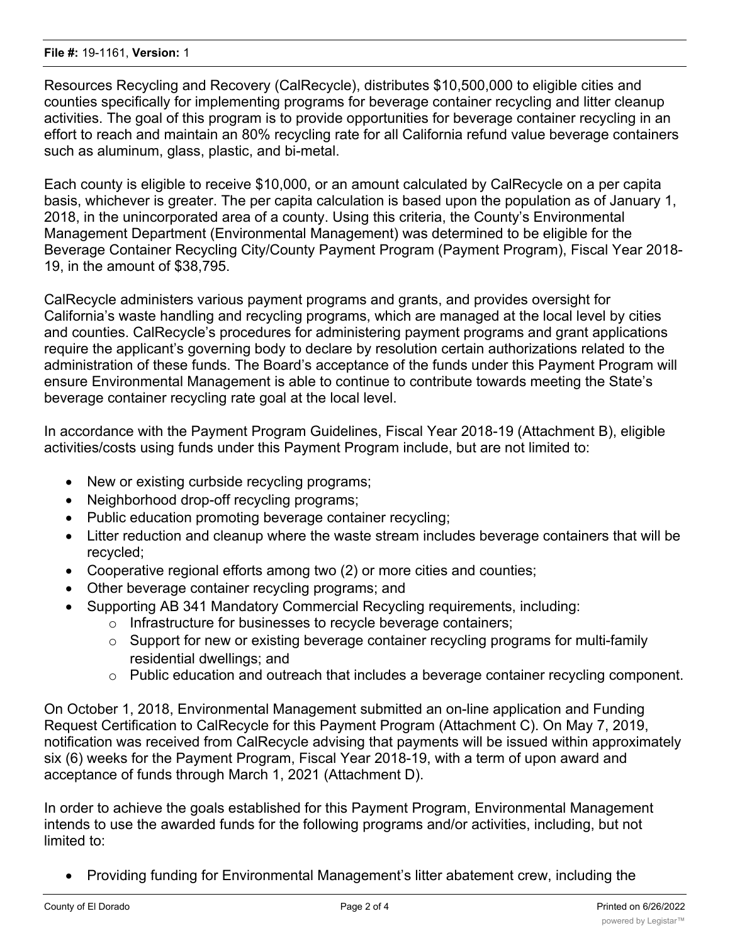Resources Recycling and Recovery (CalRecycle), distributes \$10,500,000 to eligible cities and counties specifically for implementing programs for beverage container recycling and litter cleanup activities. The goal of this program is to provide opportunities for beverage container recycling in an effort to reach and maintain an 80% recycling rate for all California refund value beverage containers such as aluminum, glass, plastic, and bi-metal.

Each county is eligible to receive \$10,000, or an amount calculated by CalRecycle on a per capita basis, whichever is greater. The per capita calculation is based upon the population as of January 1, 2018, in the unincorporated area of a county. Using this criteria, the County's Environmental Management Department (Environmental Management) was determined to be eligible for the Beverage Container Recycling City/County Payment Program (Payment Program), Fiscal Year 2018- 19, in the amount of \$38,795.

CalRecycle administers various payment programs and grants, and provides oversight for California's waste handling and recycling programs, which are managed at the local level by cities and counties. CalRecycle's procedures for administering payment programs and grant applications require the applicant's governing body to declare by resolution certain authorizations related to the administration of these funds. The Board's acceptance of the funds under this Payment Program will ensure Environmental Management is able to continue to contribute towards meeting the State's beverage container recycling rate goal at the local level.

In accordance with the Payment Program Guidelines, Fiscal Year 2018-19 (Attachment B), eligible activities/costs using funds under this Payment Program include, but are not limited to:

- · New or existing curbside recycling programs;
- · Neighborhood drop-off recycling programs;
- · Public education promoting beverage container recycling;
- · Litter reduction and cleanup where the waste stream includes beverage containers that will be recycled;
- · Cooperative regional efforts among two (2) or more cities and counties;
- Other beverage container recycling programs; and
- · Supporting AB 341 Mandatory Commercial Recycling requirements, including:
	- o Infrastructure for businesses to recycle beverage containers;
		- $\circ$  Support for new or existing beverage container recycling programs for multi-family residential dwellings; and
		- $\circ$  Public education and outreach that includes a beverage container recycling component.

On October 1, 2018, Environmental Management submitted an on-line application and Funding Request Certification to CalRecycle for this Payment Program (Attachment C). On May 7, 2019, notification was received from CalRecycle advising that payments will be issued within approximately six (6) weeks for the Payment Program, Fiscal Year 2018-19, with a term of upon award and acceptance of funds through March 1, 2021 (Attachment D).

In order to achieve the goals established for this Payment Program, Environmental Management intends to use the awarded funds for the following programs and/or activities, including, but not limited to:

Providing funding for Environmental Management's litter abatement crew, including the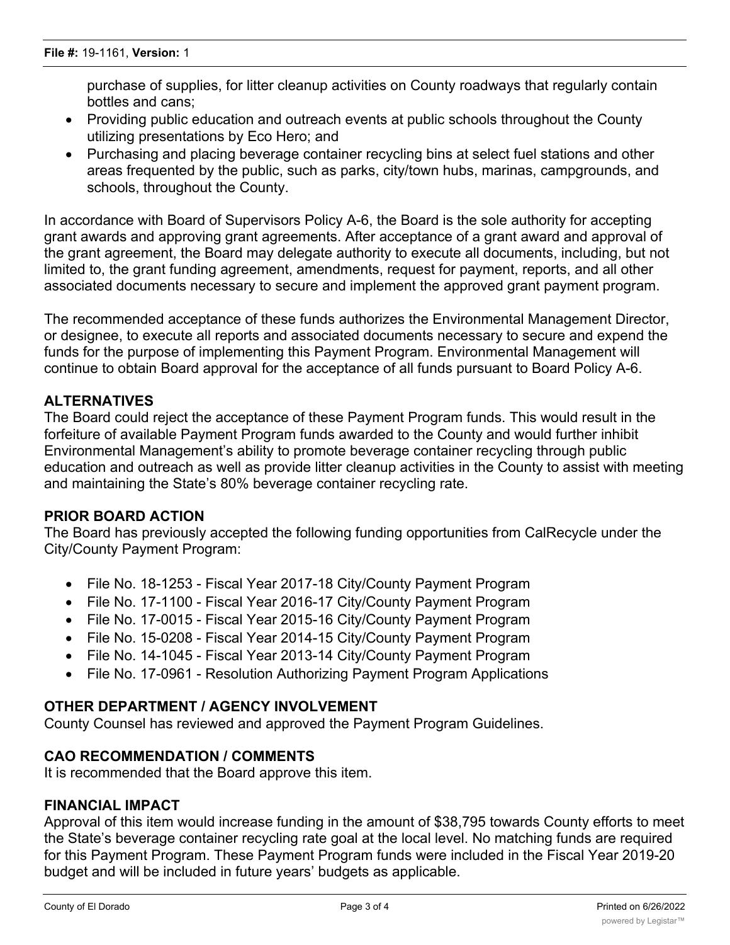purchase of supplies, for litter cleanup activities on County roadways that regularly contain bottles and cans;

- Providing public education and outreach events at public schools throughout the County utilizing presentations by Eco Hero; and
- · Purchasing and placing beverage container recycling bins at select fuel stations and other areas frequented by the public, such as parks, city/town hubs, marinas, campgrounds, and schools, throughout the County.

In accordance with Board of Supervisors Policy A-6, the Board is the sole authority for accepting grant awards and approving grant agreements. After acceptance of a grant award and approval of the grant agreement, the Board may delegate authority to execute all documents, including, but not limited to, the grant funding agreement, amendments, request for payment, reports, and all other associated documents necessary to secure and implement the approved grant payment program.

The recommended acceptance of these funds authorizes the Environmental Management Director, or designee, to execute all reports and associated documents necessary to secure and expend the funds for the purpose of implementing this Payment Program. Environmental Management will continue to obtain Board approval for the acceptance of all funds pursuant to Board Policy A-6.

## **ALTERNATIVES**

The Board could reject the acceptance of these Payment Program funds. This would result in the forfeiture of available Payment Program funds awarded to the County and would further inhibit Environmental Management's ability to promote beverage container recycling through public education and outreach as well as provide litter cleanup activities in the County to assist with meeting and maintaining the State's 80% beverage container recycling rate.

## **PRIOR BOARD ACTION**

The Board has previously accepted the following funding opportunities from CalRecycle under the City/County Payment Program:

- · File No. 18-1253 Fiscal Year 2017-18 City/County Payment Program
- · File No. 17-1100 Fiscal Year 2016-17 City/County Payment Program
- File No. 17-0015 Fiscal Year 2015-16 City/County Payment Program
- · File No. 15-0208 Fiscal Year 2014-15 City/County Payment Program
- · File No. 14-1045 Fiscal Year 2013-14 City/County Payment Program
- File No. 17-0961 Resolution Authorizing Payment Program Applications

## **OTHER DEPARTMENT / AGENCY INVOLVEMENT**

County Counsel has reviewed and approved the Payment Program Guidelines.

## **CAO RECOMMENDATION / COMMENTS**

It is recommended that the Board approve this item.

## **FINANCIAL IMPACT**

Approval of this item would increase funding in the amount of \$38,795 towards County efforts to meet the State's beverage container recycling rate goal at the local level. No matching funds are required for this Payment Program. These Payment Program funds were included in the Fiscal Year 2019-20 budget and will be included in future years' budgets as applicable.